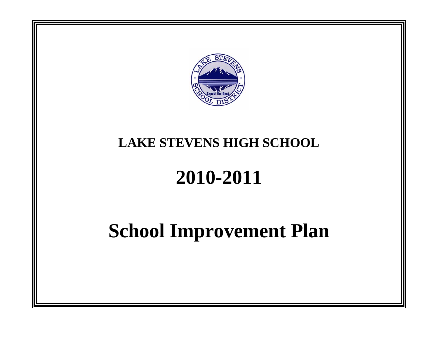

## **LAKE STEVENS HIGH SCHOOL**

# **2010-2011**

## **School Improvement Plan**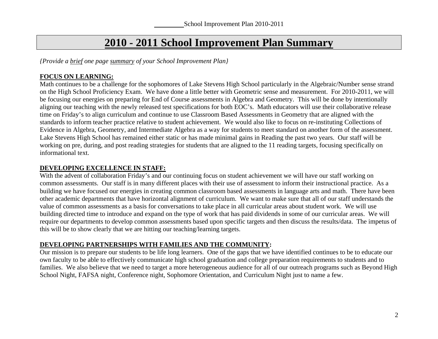### **2010 - 2011 School Improvement Plan Summary**

*{Provide a brief one page summary of your School Improvement Plan}* 

#### **FOCUS ON LEARNING:**

Math continues to be a challenge for the sophomores of Lake Stevens High School particularly in the Algebraic/Number sense strand on the High School Proficiency Exam. We have done a little better with Geometric sense and measurement. For 2010-2011, we will be focusing our energies on preparing for End of Course assessments in Algebra and Geometry. This will be done by intentionally aligning our teaching with the newly released test specifications for both EOC's. Math educators will use their collaborative release time on Friday's to align curriculum and continue to use Classroom Based Assessments in Geometry that are aligned with the standards to inform teacher practice relative to student achievement. We would also like to focus on re-instituting Collections of Evidence in Algebra, Geometry, and Intermediate Algebra as a way for students to meet standard on another form of the assessment. Lake Stevens High School has remained either static or has made minimal gains in Reading the past two years. Our staff will be working on pre, during, and post reading strategies for students that are aligned to the 11 reading targets, focusing specifically on informational text.

#### **DEVELOPING EXCELLENCE IN STAFF:**

With the advent of collaboration Friday's and our continuing focus on student achievement we will have our staff working on common assessments. Our staff is in many different places with their use of assessment to inform their instructional practice. As a building we have focused our energies in creating common classroom based assessments in language arts and math. There have been other academic departments that have horizontal alignment of curriculum. We want to make sure that all of our staff understands the value of common assessments as a basis for conversations to take place in all curricular areas about student work. We will use building directed time to introduce and expand on the type of work that has paid dividends in some of our curricular areas. We will require our departments to develop common assessments based upon specific targets and then discuss the results/data. The impetus of this will be to show clearly that we are hitting our teaching/learning targets.

#### **DEVELOPING PARTNERSHIPS WITH FAMILIES AND THE COMMUNITY:**

Our mission is to prepare our students to be life long learners. One of the gaps that we have identified continues to be to educate our own faculty to be able to effectively communicate high school graduation and college preparation requirements to students and to families. We also believe that we need to target a more heterogeneous audience for all of our outreach programs such as Beyond High School Night, FAFSA night, Conference night, Sophomore Orientation, and Curriculum Night just to name a few.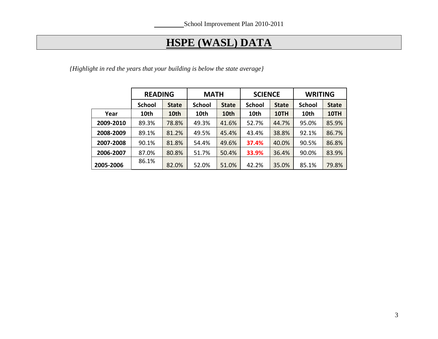## **HSPE (WASL) DATA**

*{Highlight in red the years that your building is below the state average}* 

|           | <b>READING</b> |              | <b>MATH</b>   | <b>SCIENCE</b> |               | <b>WRITING</b> |               |              |
|-----------|----------------|--------------|---------------|----------------|---------------|----------------|---------------|--------------|
|           | <b>School</b>  | <b>State</b> | <b>School</b> | <b>State</b>   | <b>School</b> | <b>State</b>   | <b>School</b> | <b>State</b> |
| Year      | 10th           | 10th         | 10th          | 10th           | 10th          | 10TH           | 10th          | 10TH         |
| 2009-2010 | 89.3%          | 78.8%        | 49.3%         | 41.6%          | 52.7%         | 44.7%          | 95.0%         | 85.9%        |
| 2008-2009 | 89.1%          | 81.2%        | 49.5%         | 45.4%          | 43.4%         | 38.8%          | 92.1%         | 86.7%        |
| 2007-2008 | 90.1%          | 81.8%        | 54.4%         | 49.6%          | 37.4%         | 40.0%          | 90.5%         | 86.8%        |
| 2006-2007 | 87.0%          | 80.8%        | 51.7%         | 50.4%          | 33.9%         | 36.4%          | 90.0%         | 83.9%        |
| 2005-2006 | 86.1%          | 82.0%        | 52.0%         | 51.0%          | 42.2%         | 35.0%          | 85.1%         | 79.8%        |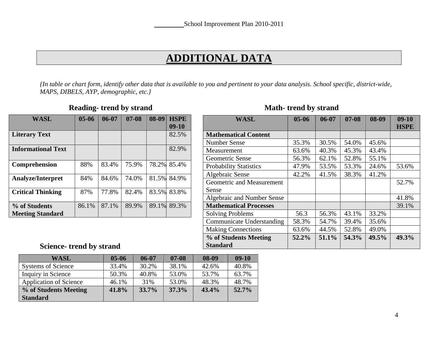### **ADDITIONAL DATA**

*{In table or chart form, identify other data that is available to you and pertinent to your data analysis. School specific, district-wide, MAPS, DIBELS, AYP, demographic, etc.}* 

| <b>WASL</b>                              | $05 - 06$ | $06 - 07$ | $07 - 08$ | 08-09 | <b>HSPE</b> |
|------------------------------------------|-----------|-----------|-----------|-------|-------------|
|                                          |           |           |           |       | $09-10$     |
| <b>Literary Text</b>                     |           |           |           |       | 82.5%       |
| <b>Informational Text</b>                |           |           |           |       | 82.9%       |
| Comprehension                            | 88%       | 83.4%     | 75.9%     |       | 78.2% 85.4% |
| <b>Analyze/Interpret</b>                 | 84%       | 84.6%     | 74.0%     | 81.5% | 84.9%       |
| <b>Critical Thinking</b>                 | 87%       | 77.8%     | 82.4%     | 83.5% | 83.8%       |
| % of Students<br><b>Meeting Standard</b> | 86.1%     | 87.1%     | 89.9%     | 89.1% | 89.3%       |

#### **Reading- trend by strand Wath- trend by strand Math- trend by strand Math- trend by strand Math-**

| <b>WASL</b>                      | $05 - 06$ | 06-07 | $07 - 08$ | 08-09 | $09-10$     |
|----------------------------------|-----------|-------|-----------|-------|-------------|
|                                  |           |       |           |       | <b>HSPE</b> |
| <b>Mathematical Content</b>      |           |       |           |       |             |
| <b>Number Sense</b>              | 35.3%     | 30.5% | 54.0%     | 45.6% |             |
| Measurement                      | 63.6%     | 40.3% | 45.3%     | 43.4% |             |
| Geometric Sense                  | 56.3%     | 62.1% | 52.8%     | 55.1% |             |
| <b>Probability Statistics</b>    | 47.9%     | 53.5% | 53.3%     | 24.6% | 53.6%       |
| Algebraic Sense                  | 42.2%     | 41.5% | 38.3%     | 41.2% |             |
| Geometric and Measurement        |           |       |           |       | 52.7%       |
| Sense                            |           |       |           |       |             |
| Algebraic and Number Sense       |           |       |           |       | 41.8%       |
| <b>Mathematical Processes</b>    |           |       |           |       | 39.1%       |
| <b>Solving Problems</b>          | 56.3      | 56.3% | 43.1%     | 33.2% |             |
| <b>Communicate Understanding</b> | 58.3%     | 54.7% | 39.4%     | 35.6% |             |
| <b>Making Connections</b>        | 63.6%     | 44.5% | 52.8%     | 49.0% |             |
| % of Students Meeting            | 52.2%     | 51.1% | 54.3%     | 49.5% | 49.3%       |
| <b>Standard</b>                  |           |       |           |       |             |

### **Science- trend by strand**

| <b>WASL</b>                   | $05 - 06$ | $06 - 07$ | $07 - 08$ | 08-09 | $09-10$ |
|-------------------------------|-----------|-----------|-----------|-------|---------|
| <b>Systems of Science</b>     | 33.4%     | 30.2%     | 38.1%     | 42.6% | 40.8%   |
| Inquiry in Science            | 50.3%     | 40.8%     | 53.0%     | 53.7% | 63.7%   |
| <b>Application of Science</b> | 46.1%     | 31%       | 53.0%     | 48.3% | 48.7%   |
| % of Students Meeting         | 41.8%     | 33.7%     | 37.3%     | 43.4% | 52.7%   |
| <b>Standard</b>               |           |           |           |       |         |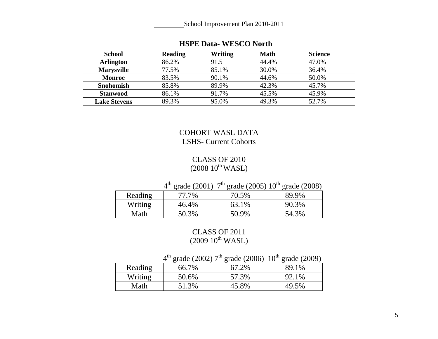School Improvement Plan 2010-2011

| <b>School</b>       | <b>Reading</b> | <b>Writing</b> | <b>Math</b> | <b>Science</b> |
|---------------------|----------------|----------------|-------------|----------------|
| <b>Arlington</b>    | 86.2%          | 91.5           | 44.4%       | 47.0%          |
| <b>Marysville</b>   | 77.5%          | 85.1%          | 30.0%       | 36.4%          |
| <b>Monroe</b>       | 83.5%          | 90.1%          | 44.6%       | 50.0%          |
| <b>Snohomish</b>    | 85.8%          | 89.9%          | 42.3%       | 45.7%          |
| <b>Stanwood</b>     | 86.1%          | 91.7%          | 45.5%       | 45.9%          |
| <b>Lake Stevens</b> | 89.3%          | 95.0%          | 49.3%       | 52.7%          |

### **HSPE Data- WESCO North**

#### COHORT WASL DATA LSHS- Current Cohorts

#### CLASS OF 2010  $(2008~10^{\text{th}}\,\text{WASL})$

### $4<sup>th</sup>$  grade (2001)  $7<sup>th</sup>$  grade (2005)  $10<sup>th</sup>$  grade (2008)

| Reading | 77.7% | 70.5% | 89.9% |
|---------|-------|-------|-------|
| Writing | 46.4% | 63.1% | 90.3% |
| Math    | 50.3% | 50.9% | 54.3% |

#### CLASS OF 2011  $(2009 10^{th}$  WASL)

|  |  |  |  | $4th$ grade (2002) $7th$ grade (2006) $10th$ grade (2009) |
|--|--|--|--|-----------------------------------------------------------|
|--|--|--|--|-----------------------------------------------------------|

| Reading | 66.7% | 67.2% | 89.1% |
|---------|-------|-------|-------|
| Writing | 50.6% | 57.3% | 92.1% |
| Math    | 51.3% | 45.8% | 49.5% |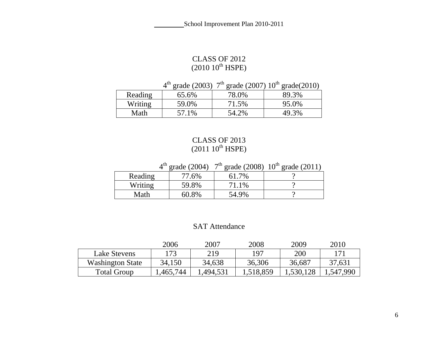## CLASS OF 2012<br>(2010 10<sup>th</sup> HSPE)

 $4^{th}$  grade (2003)  $7^{th}$  grade (2007)  $10^{th}$  grade(2010)

| Reading | 65.6% | 78.0% | 89.3% |
|---------|-------|-------|-------|
| Writing | 59.0% | 71.5% | 95.0% |
| Math    | 57.1% | 54.2% | 49.3% |

## CLASS OF 2013<br>(2011 10<sup>th</sup> HSPE)

 $4<sup>th</sup>$  grade (2004)  $7<sup>th</sup>$  grade (2008)  $10<sup>th</sup>$  grade (2011)

| Reading | 77.6% | 7%    |  |
|---------|-------|-------|--|
| Writing | 59.8% | 71.1% |  |
| Math    | 60.8% | 54.9% |  |

#### SAT Attendance

|                         | 2006      | 2007     | 2008      | 2009      | 2010      |
|-------------------------|-----------|----------|-----------|-----------|-----------|
| Lake Stevens            | 173       | 219      | 197       | 200       | 171       |
| <b>Washington State</b> | 34,150    | 34,638   | 36,306    | 36,687    | 37,631    |
| <b>Total Group</b>      | 1,465,744 | ,494,531 | 1,518,859 | 1,530,128 | 1,547,990 |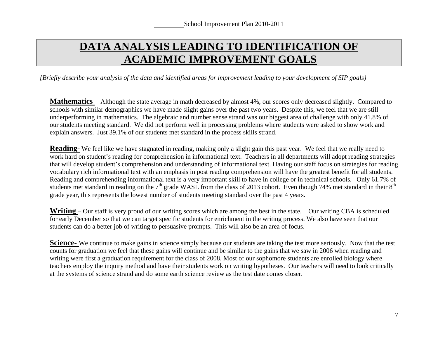## **DATA ANALYSIS LEADING TO IDENTIFICATION OF ACADEMIC IMPROVEMENT GOALS**

*{Briefly describe your analysis of the data and identified areas for improvement leading to your development of SIP goals}* 

**Mathematics** – Although the state average in math decreased by almost 4%, our scores only decreased slightly. Compared to schools with similar demographics we have made slight gains over the past two years. Despite this, we feel that we are still underperforming in mathematics. The algebraic and number sense strand was our biggest area of challenge with only 41.8% of our students meeting standard. We did not perform well in processing problems where students were asked to show work and explain answers. Just 39.1% of our students met standard in the process skills strand.

**Reading-** We feel like we have stagnated in reading, making only a slight gain this past year. We feel that we really need to work hard on student's reading for comprehension in informational text. Teachers in all departments will adopt reading strategies that will develop student's comprehension and understanding of informational text. Having our staff focus on strategies for reading vocabulary rich informational text with an emphasis in post reading comprehension will have the greatest benefit for all students. Reading and comprehending informational text is a very important skill to have in college or in technical schools. Only 61.7% of students met standard in reading on the 7<sup>th</sup> grade WASL from the class of 2013 cohort. Even though 74% met standard in their 8<sup>th</sup> grade year, this represents the lowest number of students meeting standard over the past 4 years.

**Writing** – Our staff is very proud of our writing scores which are among the best in the state. Our writing CBA is scheduled for early December so that we can target specific students for enrichment in the writing process. We also have seen that our students can do a better job of writing to persuasive prompts. This will also be an area of focus.

**Science-** We continue to make gains in science simply because our students are taking the test more seriously. Now that the test counts for graduation we feel that these gains will continue and be similar to the gains that we saw in 2006 when reading and writing were first a graduation requirement for the class of 2008. Most of our sophomore students are enrolled biology where teachers employ the inquiry method and have their students work on writing hypotheses. Our teachers will need to look critically at the systems of science strand and do some earth science review as the test date comes closer.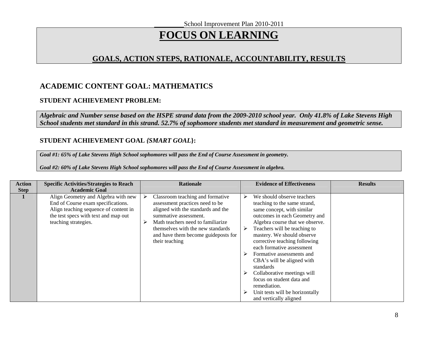School Improvement Plan 2010-2011

## **FOCUS ON LEARNING**

#### **GOALS, ACTION STEPS, RATIONALE, ACCOUNTABILITY, RESULTS**

#### **ACADEMIC CONTENT GOAL: MATHEMATICS**

#### **STUDENT ACHIEVEMENT PROBLEM:**

*Algebraic and Number sense based on the HSPE strand data from the 2009-2010 school year. Only 41.8% of Lake Stevens High School students met standard in this strand. 52.7% of sophomore students met standard in measurement and geometric sense.* 

#### **STUDENT ACHIEVEMENT GOAL** *{SMART GOAL***}:**

*Goal #1: 65% of Lake Stevens High School sophomores will pass the End of Course Assessment in geometry.* 

*Goal #2: 60% of Lake Stevens High School sophomores will pass the End of Course Assessment in algebra.* 

| <b>Action</b> | <b>Specific Activities/Strategies to Reach</b>                                                                                                                                     | <b>Rationale</b>                                                                                                                                                                   | <b>Evidence of Effectiveness</b>                                                                                              | <b>Results</b>                                                   |
|---------------|------------------------------------------------------------------------------------------------------------------------------------------------------------------------------------|------------------------------------------------------------------------------------------------------------------------------------------------------------------------------------|-------------------------------------------------------------------------------------------------------------------------------|------------------------------------------------------------------|
| <b>Step</b>   | <b>Academic Goal</b>                                                                                                                                                               |                                                                                                                                                                                    |                                                                                                                               |                                                                  |
|               | Align Geometry and Algebra with new<br>End of Course exam specifications.<br>Align teaching sequence of content in<br>the test specs with text and map out<br>teaching strategies. | Classroom teaching and formative<br>≻<br>assessment practices need to be<br>aligned with the standards and the<br>summative assessment.<br>Math teachers need to familiarize.<br>⋗ | We should observe teachers<br>≻<br>teaching to the same strand,<br>same concept, with similar                                 | outcomes in each Geometry and<br>Algebra course that we observe. |
|               |                                                                                                                                                                                    | themselves with the new standards<br>and have them become guideposts for<br>their teaching                                                                                         | Teachers will be teaching to<br>➤<br>mastery. We should observe<br>corrective teaching following<br>each formative assessment |                                                                  |
|               |                                                                                                                                                                                    |                                                                                                                                                                                    | Formative assessments and<br>➤<br>CBA's will be aligned with<br>standards                                                     |                                                                  |
|               |                                                                                                                                                                                    |                                                                                                                                                                                    | Collaborative meetings will<br>➤<br>focus on student data and<br>remediation.                                                 |                                                                  |
|               |                                                                                                                                                                                    |                                                                                                                                                                                    | Unit tests will be horizontally<br>➤<br>and vertically aligned                                                                |                                                                  |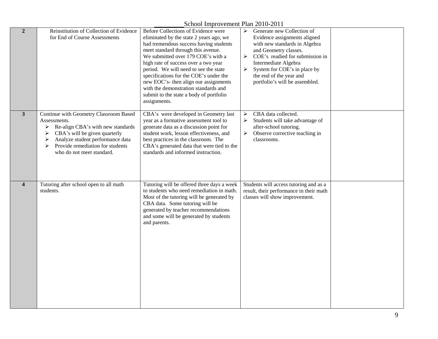| School Improvement Plan 2010-2011 |  |
|-----------------------------------|--|
|                                   |  |

| $\overline{2}$          | Reinstitution of Collection of Evidence<br>for End of Course Assessments                                                                                                                                                                              | Before Collections of Evidence were<br>eliminated by the state 2 years ago, we<br>had tremendous success having students<br>meet standard through this avenue.<br>We submitted over 179 COE's with a<br>high rate of success over a two year<br>period. We will need to see the state<br>specifications for the COE's under the<br>new EOC's- then align our assignments<br>with the demonstration standards and<br>submit to the state a body of portfolio<br>assignments. | $\triangleright$ Generate new Collection of<br>Evidence assignments aligned<br>with new standards in Algebra<br>and Geometry classes.<br>COE's readied for submission in<br>➤<br>Intermediate Algebra<br>System for COE's in place by<br>➤<br>the end of the year and<br>portfolio's will be assembled. |  |
|-------------------------|-------------------------------------------------------------------------------------------------------------------------------------------------------------------------------------------------------------------------------------------------------|-----------------------------------------------------------------------------------------------------------------------------------------------------------------------------------------------------------------------------------------------------------------------------------------------------------------------------------------------------------------------------------------------------------------------------------------------------------------------------|---------------------------------------------------------------------------------------------------------------------------------------------------------------------------------------------------------------------------------------------------------------------------------------------------------|--|
| $\mathbf{3}$            | Continue with Geometry Classroom Based<br>Assessments.<br>Re-align CBA's with new standards<br>➤<br>CBA's will be given quarterly<br>➤<br>Analyze student performance data<br>➤<br>Provide remediation for students<br>➤<br>who do not meet standard. | CBA's were developed in Geometry last<br>year as a formative assessment tool to<br>generate data as a discussion point for<br>student work, lesson effectiveness, and<br>best practices in the classroom. The<br>CBA's generated data that were tied to the<br>standards and informed instruction.                                                                                                                                                                          | CBA data collected.<br>➤<br>Students will take advantage of<br>➤<br>after-school tutoring.<br>Observe corrective teaching in<br>➤<br>classrooms.                                                                                                                                                        |  |
| $\overline{\mathbf{4}}$ | Tutoring after school open to all math<br>students.                                                                                                                                                                                                   | Tutoring will be offered three days a week<br>to students who need remediation in math.<br>Most of the tutoring will be generated by<br>CBA data. Some tutoring will be<br>generated by teacher recommendations<br>and some will be generated by students<br>and parents.                                                                                                                                                                                                   | Students will access tutoring and as a<br>result, their performance in their math<br>classes will show improvement.                                                                                                                                                                                     |  |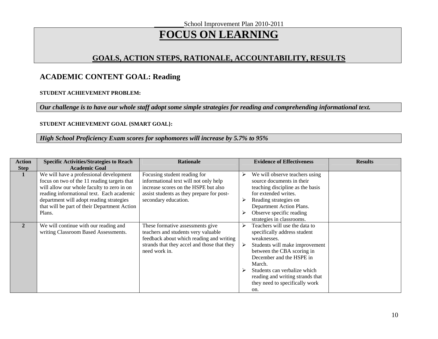## **FOCUS ON LEARNING**

#### **GOALS, ACTION STEPS, RATIONALE, ACCOUNTABILITY, RESULTS**

#### **ACADEMIC CONTENT GOAL: Reading**

#### **STUDENT ACHIEVEMENT PROBLEM:**

*Our challenge is to have our whole staff adopt some simple strategies for reading and comprehending informational text.* 

#### **STUDENT ACHIEVEMENT GOAL {SMART GOAL}:**

#### *High School Proficiency Exam scores for sophomores will increase by 5.7% to 95%*

| <b>Action</b><br><b>Step</b> | <b>Specific Activities/Strategies to Reach</b><br><b>Academic Goal</b>                                                                                                                                                                                                                  | <b>Rationale</b>                                                                                                                                                                    |   | <b>Evidence of Effectiveness</b>                                                                                                                                                                                                                                                                | <b>Results</b> |
|------------------------------|-----------------------------------------------------------------------------------------------------------------------------------------------------------------------------------------------------------------------------------------------------------------------------------------|-------------------------------------------------------------------------------------------------------------------------------------------------------------------------------------|---|-------------------------------------------------------------------------------------------------------------------------------------------------------------------------------------------------------------------------------------------------------------------------------------------------|----------------|
|                              | We will have a professional development<br>focus on two of the 11 reading targets that<br>will allow our whole faculty to zero in on<br>reading informational text. Each academic<br>department will adopt reading strategies<br>that will be part of their Department Action<br>Plans. | Focusing student reading for<br>informational text will not only help<br>increase scores on the HSPE but also<br>assist students as they prepare for post-<br>secondary education.  | ➤ | We will observe teachers using<br>source documents in their<br>teaching discipline as the basis<br>for extended writes.<br>Reading strategies on<br>Department Action Plans.<br>Observe specific reading<br>strategies in classrooms.                                                           |                |
| $\mathbf{2}$                 | We will continue with our reading and<br>writing Classroom Based Assessments.                                                                                                                                                                                                           | These formative assessments give<br>teachers and students very valuable<br>feedback about which reading and writing<br>strands that they accel and those that they<br>need work in. | ➤ | Teachers will use the data to<br>specifically address student<br>weaknesses.<br>Students will make improvement<br>between the CBA scoring in<br>December and the HSPE in<br>March.<br>Students can verbalize which<br>reading and writing strands that<br>they need to specifically work<br>on. |                |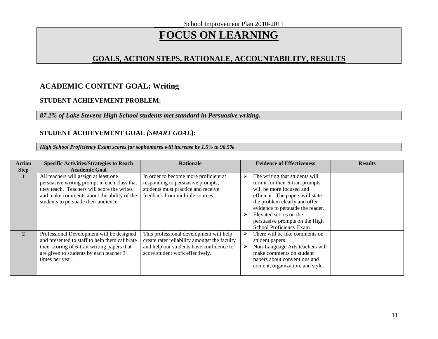## **FOCUS ON LEARNING**

#### **GOALS, ACTION STEPS, RATIONALE, ACCOUNTABILITY, RESULTS**

#### **ACADEMIC CONTENT GOAL: Writing**

#### **STUDENT ACHIEVEMENT PROBLEM:**

#### *87.2% of Lake Stevens High School students met standard in Persuasive writing.*

#### **STUDENT ACHIEVEMENT GOAL** *{SMART GOAL***}:**

*High School Proficiency Exam scores for sophomores will increase by 1.5% to 96.5%* 

| <b>Action</b> | <b>Specific Activities/Strategies to Reach</b>                                                                                                                                                                            | <b>Rationale</b>                                                                                                                                                       | <b>Evidence of Effectiveness</b>                                                                                                                                                                                                                                                                 | <b>Results</b> |
|---------------|---------------------------------------------------------------------------------------------------------------------------------------------------------------------------------------------------------------------------|------------------------------------------------------------------------------------------------------------------------------------------------------------------------|--------------------------------------------------------------------------------------------------------------------------------------------------------------------------------------------------------------------------------------------------------------------------------------------------|----------------|
| <b>Step</b>   | <b>Academic Goal</b>                                                                                                                                                                                                      |                                                                                                                                                                        |                                                                                                                                                                                                                                                                                                  |                |
| 1             | All teachers will assign at least one<br>persuasive writing prompt in each class that<br>they teach. Teachers will score the writes<br>and make comments about the ability of the<br>students to persuade their audience. | In order to become more proficient at<br>responding to persuasive prompts,<br>students must practice and receive<br>feedback from multiple sources.                    | The writing that students will<br>turn it for their 6-trait prompts<br>will be more focused and<br>efficient. The papers will state<br>the problem clearly and offer<br>evidence to persuade the reader.<br>Elevated scores on the<br>persuasive prompts on the High<br>School Proficiency Exam. |                |
| $\mathbf{2}$  | Professional Development will be designed<br>and presented to staff to help them calibrate<br>their scoring of 6-trait writing papers that<br>are given to students by each teacher 3<br>times per year.                  | This professional development will help<br>create rater reliability amongst the faculty<br>and help our students have confidence to<br>score student work effectively. | There will be like comments on<br>student papers.<br>Non-Language Arts teachers will<br>make comments on student<br>papers about conventions and<br>content, organization, and style.                                                                                                            |                |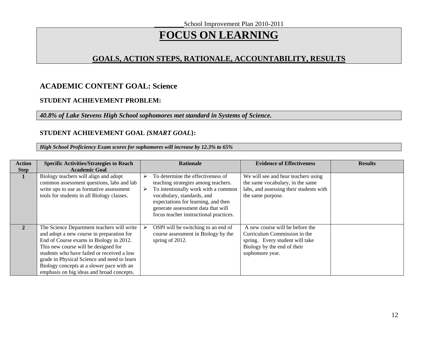## **FOCUS ON LEARNING**

#### **GOALS, ACTION STEPS, RATIONALE, ACCOUNTABILITY, RESULTS**

#### **ACADEMIC CONTENT GOAL: Science**

#### **STUDENT ACHIEVEMENT PROBLEM:**

*40.8% of Lake Stevens High School sophomores met standard in Systems of Science.* 

#### **STUDENT ACHIEVEMENT GOAL** *{SMART GOAL***}:**

*High School Proficiency Exam scores for sophomores will increase by 12.3% to 65%* 

| <b>Action</b> | <b>Specific Activities/Strategies to Reach</b>                                                                                                                                                                                                                                                                                                                    |   | <b>Rationale</b>                                                                                                                                                                                                                                                     | <b>Evidence of Effectiveness</b>                                                                                                                     | <b>Results</b> |
|---------------|-------------------------------------------------------------------------------------------------------------------------------------------------------------------------------------------------------------------------------------------------------------------------------------------------------------------------------------------------------------------|---|----------------------------------------------------------------------------------------------------------------------------------------------------------------------------------------------------------------------------------------------------------------------|------------------------------------------------------------------------------------------------------------------------------------------------------|----------------|
| <b>Step</b>   | <b>Academic Goal</b>                                                                                                                                                                                                                                                                                                                                              |   |                                                                                                                                                                                                                                                                      |                                                                                                                                                      |                |
| 1             | Biology teachers will align and adopt<br>common assessment questions, labs and lab<br>write ups to use as formative assessment<br>tools for students in all Biology classes.                                                                                                                                                                                      | ➤ | To determine the effectiveness of<br>teaching strategies among teachers.<br>To intentionally work with a common<br>vocabulary, standards, and<br>expectations for learning, and then<br>generate assessment data that will<br>focus teacher instructional practices. | We will see and hear teachers using<br>the same vocabulary, in the same<br>labs, and assessing their students with<br>the same purpose.              |                |
| $\mathbf{2}$  | The Science Department teachers will write<br>and adopt a new course in preparation for<br>End of Course exams in Biology in 2012.<br>This new course will be designed for<br>students who have failed or received a low<br>grade in Physical Science and need to learn<br>Biology concepts at a slower pace with an<br>emphasis on big ideas and broad concepts. | ⋗ | OSPI will be switching to an end of<br>course assessment in Biology by the<br>spring of 2012.                                                                                                                                                                        | A new course will be before the<br>Curriculum Commission in the<br>spring. Every student will take<br>Biology by the end of their<br>sophomore year. |                |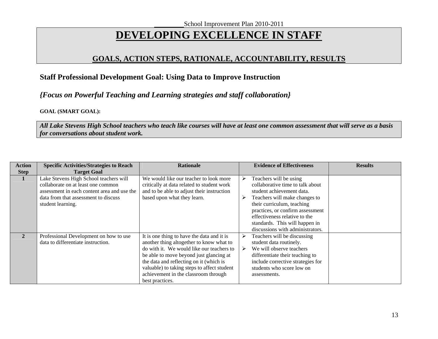## **DEVELOPING EXCELLENCE IN STAFF**

#### **GOALS, ACTION STEPS, RATIONALE, ACCOUNTABILITY, RESULTS**

#### **Staff Professional Development Goal: Using Data to Improve Instruction**

#### *{Focus on Powerful Teaching and Learning strategies and staff collaboration}*

#### **GOAL (SMART GOAL):**

*All Lake Stevens High School teachers who teach like courses will have at least one common assessment that will serve as a basis for conversations about student work.* 

| <b>Action</b> | <b>Specific Activities/Strategies to Reach</b>                                                                                                                                           | <b>Rationale</b>                                                                                                                                                                                                                                                                                                                    |   | <b>Evidence of Effectiveness</b>                                                                                                                                                                                                                              | <b>Results</b> |
|---------------|------------------------------------------------------------------------------------------------------------------------------------------------------------------------------------------|-------------------------------------------------------------------------------------------------------------------------------------------------------------------------------------------------------------------------------------------------------------------------------------------------------------------------------------|---|---------------------------------------------------------------------------------------------------------------------------------------------------------------------------------------------------------------------------------------------------------------|----------------|
| <b>Step</b>   | <b>Target Goal</b>                                                                                                                                                                       |                                                                                                                                                                                                                                                                                                                                     |   |                                                                                                                                                                                                                                                               |                |
| 1             | Lake Stevens High School teachers will<br>collaborate on at least one common<br>assessment in each content area and use the<br>data from that assessment to discuss<br>student learning. | We would like our teacher to look more<br>critically at data related to student work<br>and to be able to adjust their instruction<br>based upon what they learn.                                                                                                                                                                   | ➤ | Teachers will be using<br>collaborative time to talk about<br>student achievement data.<br>Teachers will make changes to<br>their curriculum, teaching<br>practices, or confirm assessment<br>effectiveness relative to the<br>standards. This will happen in |                |
| $\mathbf{2}$  | Professional Development on how to use<br>data to differentiate instruction.                                                                                                             | It is one thing to have the data and it is<br>another thing altogether to know what to<br>do with it. We would like our teachers to<br>be able to move beyond just glancing at<br>the data and reflecting on it (which is<br>valuable) to taking steps to affect student<br>achievement in the classroom through<br>best practices. |   | discussions with administrators.<br>Teachers will be discussing<br>student data routinely.<br>We will observe teachers<br>differentiate their teaching to<br>include corrective strategies for<br>students who score low on<br>assessments.                   |                |